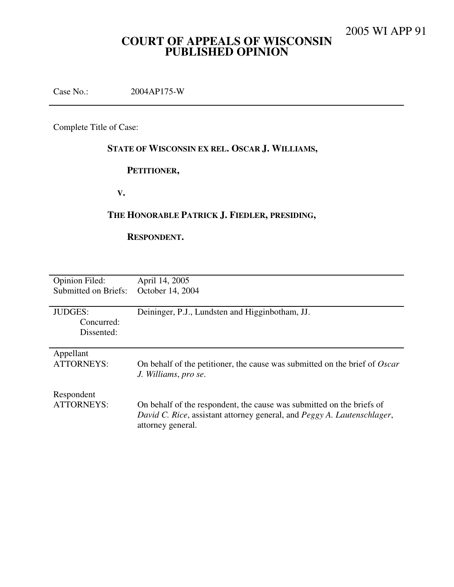# **COURT OF APPEALS OF WISCONSIN PUBLISHED OPINION**

Case No.: 2004AP175-W

Complete Title of Case:

# **STATE OF WISCONSIN EX REL. OSCAR J. WILLIAMS,**

## **PETITIONER,**

 **V.** 

## **THE HONORABLE PATRICK J. FIEDLER, PRESIDING,**

## **RESPONDENT.**

| <b>Opinion Filed:</b>                      | April 14, 2005                                                                                                                                                        |
|--------------------------------------------|-----------------------------------------------------------------------------------------------------------------------------------------------------------------------|
| Submitted on Briefs:                       | October 14, 2004                                                                                                                                                      |
| <b>JUDGES:</b><br>Concurred:<br>Dissented: | Deininger, P.J., Lundsten and Higginbotham, JJ.                                                                                                                       |
| Appellant                                  | On behalf of the petitioner, the cause was submitted on the brief of <i>Oscar</i>                                                                                     |
| <b>ATTORNEYS:</b>                          | J. Williams, pro se.                                                                                                                                                  |
| Respondent<br><b>ATTORNEYS:</b>            | On behalf of the respondent, the cause was submitted on the briefs of<br>David C. Rice, assistant attorney general, and Peggy A. Lautenschlager,<br>attorney general. |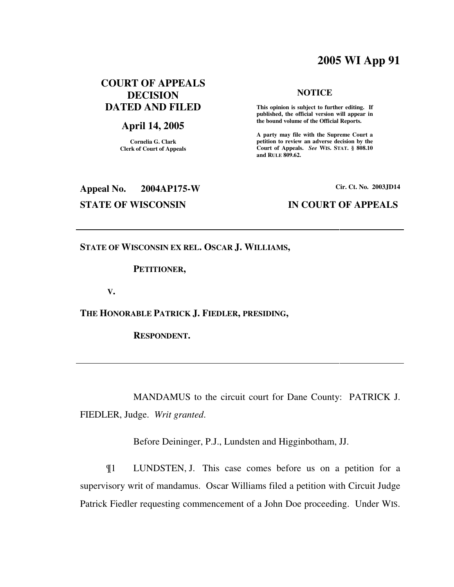# **2005 WI App 91**

## **COURT OF APPEALS DECISION DATED AND FILED**

## **April 14, 2005**

**Cornelia G. Clark Clerk of Court of Appeals**

# **NOTICE**

 **This opinion is subject to further editing. If published, the official version will appear in the bound volume of the Official Reports.** 

**A party may file with the Supreme Court a petition to review an adverse decision by the Court of Appeals.** *See* **WIS. STAT. § 808.10 and RULE 809.62.** 

# **Appeal No. 2004AP175-W Cir. Ct. No. 2003JD14 STATE OF WISCONSIN IN COURT OF APPEALS**

**STATE OF WISCONSIN EX REL. OSCAR J. WILLIAMS,** 

## **PETITIONER,**

 **V.** 

**THE HONORABLE PATRICK J. FIEDLER, PRESIDING,** 

 **RESPONDENT.** 

 MANDAMUS to the circuit court for Dane County: PATRICK J. FIEDLER, Judge. *Writ granted*.

Before Deininger, P.J., Lundsten and Higginbotham, JJ.

¶1 LUNDSTEN, J. This case comes before us on a petition for a supervisory writ of mandamus. Oscar Williams filed a petition with Circuit Judge Patrick Fiedler requesting commencement of a John Doe proceeding. Under WIS.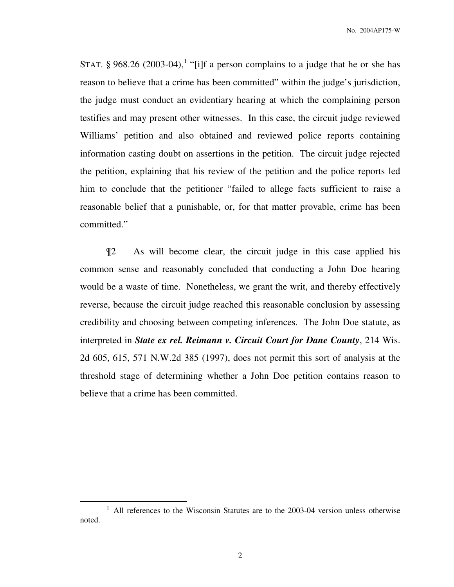STAT. § 968.26 (2003-04),<sup>1</sup> "[i]f a person complains to a judge that he or she has reason to believe that a crime has been committed" within the judge's jurisdiction, the judge must conduct an evidentiary hearing at which the complaining person testifies and may present other witnesses. In this case, the circuit judge reviewed Williams' petition and also obtained and reviewed police reports containing information casting doubt on assertions in the petition. The circuit judge rejected the petition, explaining that his review of the petition and the police reports led him to conclude that the petitioner "failed to allege facts sufficient to raise a reasonable belief that a punishable, or, for that matter provable, crime has been committed."

¶2 As will become clear, the circuit judge in this case applied his common sense and reasonably concluded that conducting a John Doe hearing would be a waste of time. Nonetheless, we grant the writ, and thereby effectively reverse, because the circuit judge reached this reasonable conclusion by assessing credibility and choosing between competing inferences. The John Doe statute, as interpreted in *State ex rel. Reimann v. Circuit Court for Dane County*, 214 Wis. 2d 605, 615, 571 N.W.2d 385 (1997), does not permit this sort of analysis at the threshold stage of determining whether a John Doe petition contains reason to believe that a crime has been committed.

<sup>&</sup>lt;sup>1</sup> All references to the Wisconsin Statutes are to the 2003-04 version unless otherwise noted.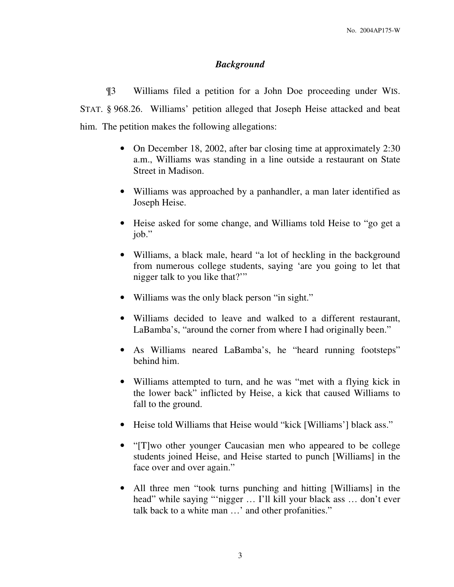## *Background*

¶3 Williams filed a petition for a John Doe proceeding under WIS. STAT. § 968.26. Williams' petition alleged that Joseph Heise attacked and beat him. The petition makes the following allegations:

- On December 18, 2002, after bar closing time at approximately 2:30 a.m., Williams was standing in a line outside a restaurant on State Street in Madison.
- Williams was approached by a panhandler, a man later identified as Joseph Heise.
- Heise asked for some change, and Williams told Heise to "go get a job."
- Williams, a black male, heard "a lot of heckling in the background from numerous college students, saying 'are you going to let that nigger talk to you like that?'"
- Williams was the only black person "in sight."
- Williams decided to leave and walked to a different restaurant, LaBamba's, "around the corner from where I had originally been."
- As Williams neared LaBamba's, he "heard running footsteps" behind him.
- Williams attempted to turn, and he was "met with a flying kick in the lower back" inflicted by Heise, a kick that caused Williams to fall to the ground.
- Heise told Williams that Heise would "kick [Williams'] black ass."
- "[T]wo other younger Caucasian men who appeared to be college students joined Heise, and Heise started to punch [Williams] in the face over and over again."
- All three men "took turns punching and hitting [Williams] in the head" while saying "'nigger … I'll kill your black ass … don't ever talk back to a white man …' and other profanities."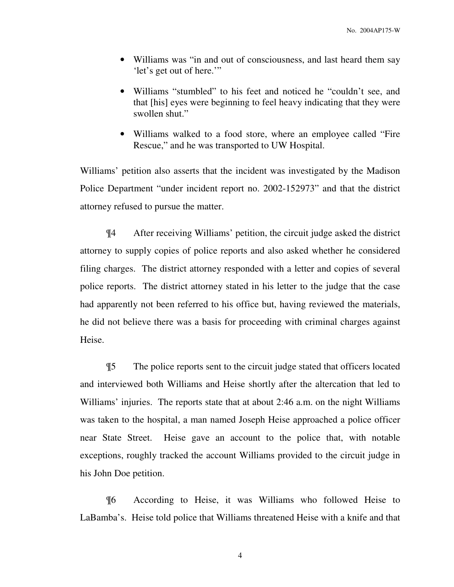- Williams was "in and out of consciousness, and last heard them say 'let's get out of here.'"
- Williams "stumbled" to his feet and noticed he "couldn't see, and that [his] eyes were beginning to feel heavy indicating that they were swollen shut."
- Williams walked to a food store, where an employee called "Fire Rescue," and he was transported to UW Hospital.

Williams' petition also asserts that the incident was investigated by the Madison Police Department "under incident report no. 2002-152973" and that the district attorney refused to pursue the matter.

¶4 After receiving Williams' petition, the circuit judge asked the district attorney to supply copies of police reports and also asked whether he considered filing charges. The district attorney responded with a letter and copies of several police reports. The district attorney stated in his letter to the judge that the case had apparently not been referred to his office but, having reviewed the materials, he did not believe there was a basis for proceeding with criminal charges against Heise.

¶5 The police reports sent to the circuit judge stated that officers located and interviewed both Williams and Heise shortly after the altercation that led to Williams' injuries. The reports state that at about 2:46 a.m. on the night Williams was taken to the hospital, a man named Joseph Heise approached a police officer near State Street. Heise gave an account to the police that, with notable exceptions, roughly tracked the account Williams provided to the circuit judge in his John Doe petition.

¶6 According to Heise, it was Williams who followed Heise to LaBamba's. Heise told police that Williams threatened Heise with a knife and that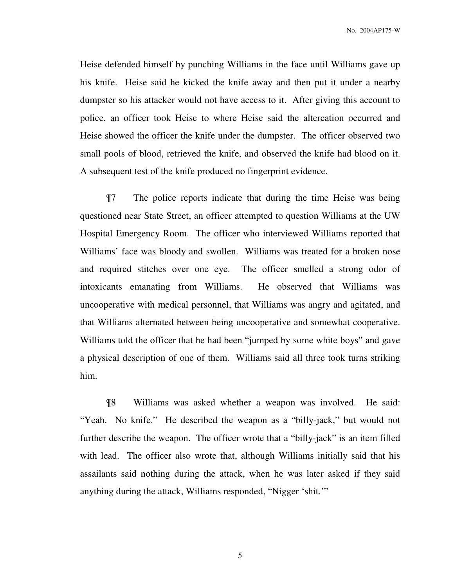No. 2004AP175-W

Heise defended himself by punching Williams in the face until Williams gave up his knife. Heise said he kicked the knife away and then put it under a nearby dumpster so his attacker would not have access to it. After giving this account to police, an officer took Heise to where Heise said the altercation occurred and Heise showed the officer the knife under the dumpster. The officer observed two small pools of blood, retrieved the knife, and observed the knife had blood on it. A subsequent test of the knife produced no fingerprint evidence.

¶7 The police reports indicate that during the time Heise was being questioned near State Street, an officer attempted to question Williams at the UW Hospital Emergency Room. The officer who interviewed Williams reported that Williams' face was bloody and swollen. Williams was treated for a broken nose and required stitches over one eye. The officer smelled a strong odor of intoxicants emanating from Williams. He observed that Williams was uncooperative with medical personnel, that Williams was angry and agitated, and that Williams alternated between being uncooperative and somewhat cooperative. Williams told the officer that he had been "jumped by some white boys" and gave a physical description of one of them. Williams said all three took turns striking him.

¶8 Williams was asked whether a weapon was involved. He said: "Yeah. No knife." He described the weapon as a "billy-jack," but would not further describe the weapon. The officer wrote that a "billy-jack" is an item filled with lead. The officer also wrote that, although Williams initially said that his assailants said nothing during the attack, when he was later asked if they said anything during the attack, Williams responded, "Nigger 'shit.'"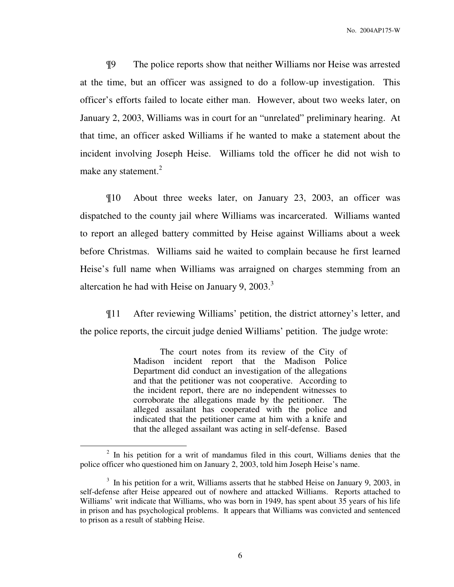¶9 The police reports show that neither Williams nor Heise was arrested at the time, but an officer was assigned to do a follow-up investigation. This officer's efforts failed to locate either man. However, about two weeks later, on January 2, 2003, Williams was in court for an "unrelated" preliminary hearing. At that time, an officer asked Williams if he wanted to make a statement about the incident involving Joseph Heise. Williams told the officer he did not wish to make any statement.<sup>2</sup>

¶10 About three weeks later, on January 23, 2003, an officer was dispatched to the county jail where Williams was incarcerated. Williams wanted to report an alleged battery committed by Heise against Williams about a week before Christmas. Williams said he waited to complain because he first learned Heise's full name when Williams was arraigned on charges stemming from an altercation he had with Heise on January 9, 2003.<sup>3</sup>

¶11 After reviewing Williams' petition, the district attorney's letter, and the police reports, the circuit judge denied Williams' petition. The judge wrote:

> The court notes from its review of the City of Madison incident report that the Madison Police Department did conduct an investigation of the allegations and that the petitioner was not cooperative. According to the incident report, there are no independent witnesses to corroborate the allegations made by the petitioner. The alleged assailant has cooperated with the police and indicated that the petitioner came at him with a knife and that the alleged assailant was acting in self-defense. Based

 $\overline{a}$ 

<sup>&</sup>lt;sup>2</sup> In his petition for a writ of mandamus filed in this court, Williams denies that the police officer who questioned him on January 2, 2003, told him Joseph Heise's name.

<sup>&</sup>lt;sup>3</sup> In his petition for a writ, Williams asserts that he stabbed Heise on January 9, 2003, in self-defense after Heise appeared out of nowhere and attacked Williams. Reports attached to Williams' writ indicate that Williams, who was born in 1949, has spent about 35 years of his life in prison and has psychological problems. It appears that Williams was convicted and sentenced to prison as a result of stabbing Heise.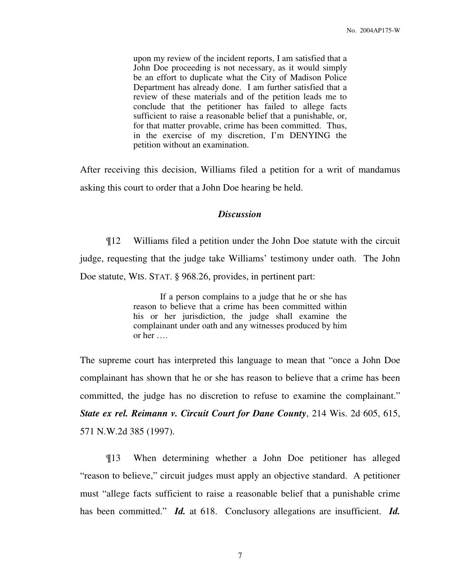upon my review of the incident reports, I am satisfied that a John Doe proceeding is not necessary, as it would simply be an effort to duplicate what the City of Madison Police Department has already done. I am further satisfied that a review of these materials and of the petition leads me to conclude that the petitioner has failed to allege facts sufficient to raise a reasonable belief that a punishable, or, for that matter provable, crime has been committed. Thus, in the exercise of my discretion, I'm DENYING the petition without an examination.

After receiving this decision, Williams filed a petition for a writ of mandamus asking this court to order that a John Doe hearing be held.

### *Discussion*

¶12 Williams filed a petition under the John Doe statute with the circuit judge, requesting that the judge take Williams' testimony under oath. The John Doe statute, WIS. STAT. § 968.26, provides, in pertinent part:

> If a person complains to a judge that he or she has reason to believe that a crime has been committed within his or her jurisdiction, the judge shall examine the complainant under oath and any witnesses produced by him or her ….

The supreme court has interpreted this language to mean that "once a John Doe complainant has shown that he or she has reason to believe that a crime has been committed, the judge has no discretion to refuse to examine the complainant." *State ex rel. Reimann v. Circuit Court for Dane County*, 214 Wis. 2d 605, 615, 571 N.W.2d 385 (1997).

¶13 When determining whether a John Doe petitioner has alleged "reason to believe," circuit judges must apply an objective standard. A petitioner must "allege facts sufficient to raise a reasonable belief that a punishable crime has been committed." *Id.* at 618. Conclusory allegations are insufficient. *Id.*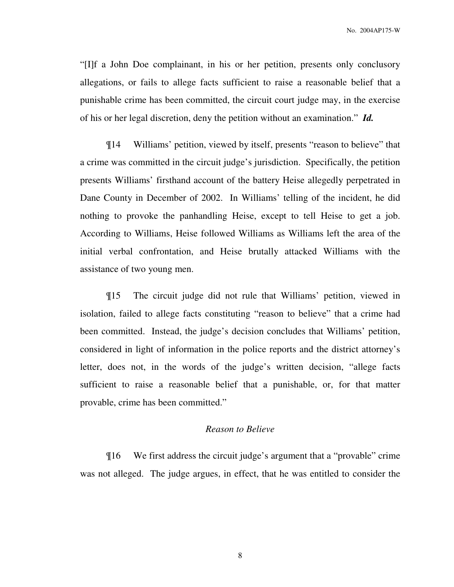"[I]f a John Doe complainant, in his or her petition, presents only conclusory allegations, or fails to allege facts sufficient to raise a reasonable belief that a punishable crime has been committed, the circuit court judge may, in the exercise of his or her legal discretion, deny the petition without an examination." *Id.*

¶14 Williams' petition, viewed by itself, presents "reason to believe" that a crime was committed in the circuit judge's jurisdiction. Specifically, the petition presents Williams' firsthand account of the battery Heise allegedly perpetrated in Dane County in December of 2002. In Williams' telling of the incident, he did nothing to provoke the panhandling Heise, except to tell Heise to get a job. According to Williams, Heise followed Williams as Williams left the area of the initial verbal confrontation, and Heise brutally attacked Williams with the assistance of two young men.

¶15 The circuit judge did not rule that Williams' petition, viewed in isolation, failed to allege facts constituting "reason to believe" that a crime had been committed. Instead, the judge's decision concludes that Williams' petition, considered in light of information in the police reports and the district attorney's letter, does not, in the words of the judge's written decision, "allege facts sufficient to raise a reasonable belief that a punishable, or, for that matter provable, crime has been committed."

## *Reason to Believe*

¶16 We first address the circuit judge's argument that a "provable" crime was not alleged. The judge argues, in effect, that he was entitled to consider the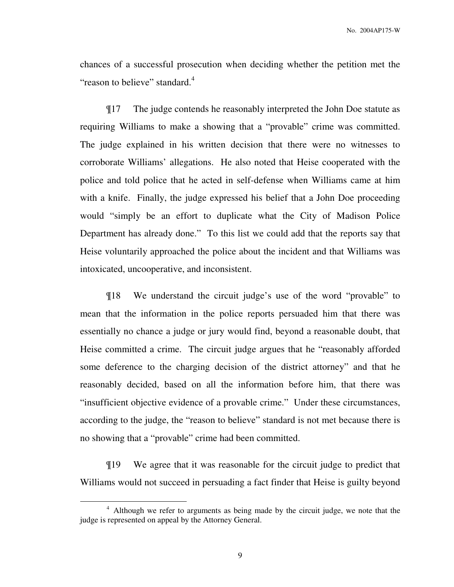chances of a successful prosecution when deciding whether the petition met the "reason to believe" standard.<sup>4</sup>

¶17 The judge contends he reasonably interpreted the John Doe statute as requiring Williams to make a showing that a "provable" crime was committed. The judge explained in his written decision that there were no witnesses to corroborate Williams' allegations. He also noted that Heise cooperated with the police and told police that he acted in self-defense when Williams came at him with a knife. Finally, the judge expressed his belief that a John Doe proceeding would "simply be an effort to duplicate what the City of Madison Police Department has already done." To this list we could add that the reports say that Heise voluntarily approached the police about the incident and that Williams was intoxicated, uncooperative, and inconsistent.

¶18 We understand the circuit judge's use of the word "provable" to mean that the information in the police reports persuaded him that there was essentially no chance a judge or jury would find, beyond a reasonable doubt, that Heise committed a crime. The circuit judge argues that he "reasonably afforded some deference to the charging decision of the district attorney" and that he reasonably decided, based on all the information before him, that there was "insufficient objective evidence of a provable crime." Under these circumstances, according to the judge, the "reason to believe" standard is not met because there is no showing that a "provable" crime had been committed.

¶19 We agree that it was reasonable for the circuit judge to predict that Williams would not succeed in persuading a fact finder that Heise is guilty beyond

<sup>&</sup>lt;sup>4</sup> Although we refer to arguments as being made by the circuit judge, we note that the judge is represented on appeal by the Attorney General.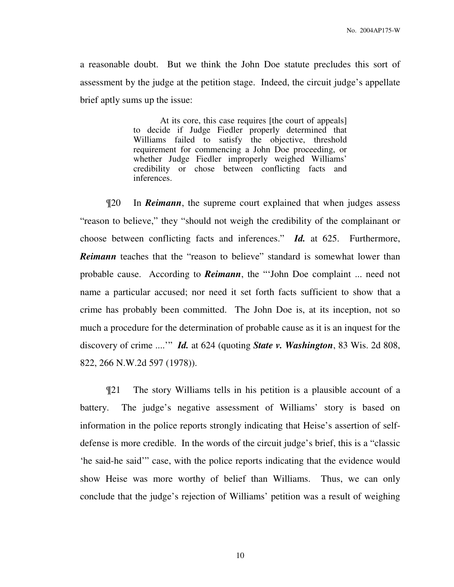a reasonable doubt. But we think the John Doe statute precludes this sort of assessment by the judge at the petition stage. Indeed, the circuit judge's appellate brief aptly sums up the issue:

> At its core, this case requires [the court of appeals] to decide if Judge Fiedler properly determined that Williams failed to satisfy the objective, threshold requirement for commencing a John Doe proceeding, or whether Judge Fiedler improperly weighed Williams' credibility or chose between conflicting facts and inferences.

¶20 In *Reimann*, the supreme court explained that when judges assess "reason to believe," they "should not weigh the credibility of the complainant or choose between conflicting facts and inferences." *Id.* at 625. Furthermore, **Reimann** teaches that the "reason to believe" standard is somewhat lower than probable cause. According to *Reimann*, the "'John Doe complaint ... need not name a particular accused; nor need it set forth facts sufficient to show that a crime has probably been committed. The John Doe is, at its inception, not so much a procedure for the determination of probable cause as it is an inquest for the discovery of crime ....'" *Id.* at 624 (quoting *State v. Washington*, 83 Wis. 2d 808, 822, 266 N.W.2d 597 (1978)).

¶21 The story Williams tells in his petition is a plausible account of a battery. The judge's negative assessment of Williams' story is based on information in the police reports strongly indicating that Heise's assertion of selfdefense is more credible. In the words of the circuit judge's brief, this is a "classic 'he said-he said'" case, with the police reports indicating that the evidence would show Heise was more worthy of belief than Williams. Thus, we can only conclude that the judge's rejection of Williams' petition was a result of weighing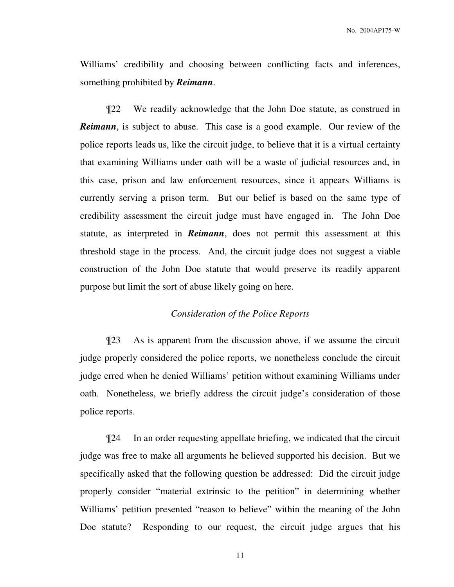Williams' credibility and choosing between conflicting facts and inferences, something prohibited by *Reimann*.

¶22 We readily acknowledge that the John Doe statute, as construed in **Reimann**, is subject to abuse. This case is a good example. Our review of the police reports leads us, like the circuit judge, to believe that it is a virtual certainty that examining Williams under oath will be a waste of judicial resources and, in this case, prison and law enforcement resources, since it appears Williams is currently serving a prison term. But our belief is based on the same type of credibility assessment the circuit judge must have engaged in. The John Doe statute, as interpreted in *Reimann*, does not permit this assessment at this threshold stage in the process. And, the circuit judge does not suggest a viable construction of the John Doe statute that would preserve its readily apparent purpose but limit the sort of abuse likely going on here.

## *Consideration of the Police Reports*

¶23 As is apparent from the discussion above, if we assume the circuit judge properly considered the police reports, we nonetheless conclude the circuit judge erred when he denied Williams' petition without examining Williams under oath. Nonetheless, we briefly address the circuit judge's consideration of those police reports.

¶24 In an order requesting appellate briefing, we indicated that the circuit judge was free to make all arguments he believed supported his decision. But we specifically asked that the following question be addressed: Did the circuit judge properly consider "material extrinsic to the petition" in determining whether Williams' petition presented "reason to believe" within the meaning of the John Doe statute? Responding to our request, the circuit judge argues that his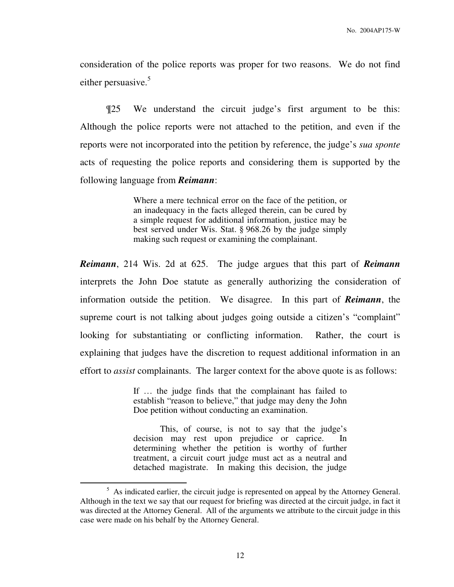consideration of the police reports was proper for two reasons. We do not find either persuasive.<sup>5</sup>

¶25 We understand the circuit judge's first argument to be this: Although the police reports were not attached to the petition, and even if the reports were not incorporated into the petition by reference, the judge's *sua sponte* acts of requesting the police reports and considering them is supported by the following language from *Reimann*:

> Where a mere technical error on the face of the petition, or an inadequacy in the facts alleged therein, can be cured by a simple request for additional information, justice may be best served under Wis. Stat. § 968.26 by the judge simply making such request or examining the complainant.

*Reimann*, 214 Wis. 2d at 625. The judge argues that this part of *Reimann* interprets the John Doe statute as generally authorizing the consideration of information outside the petition. We disagree. In this part of *Reimann*, the supreme court is not talking about judges going outside a citizen's "complaint" looking for substantiating or conflicting information. Rather, the court is explaining that judges have the discretion to request additional information in an effort to *assist* complainants. The larger context for the above quote is as follows:

> If … the judge finds that the complainant has failed to establish "reason to believe," that judge may deny the John Doe petition without conducting an examination.

> This, of course, is not to say that the judge's decision may rest upon prejudice or caprice. In determining whether the petition is worthy of further treatment, a circuit court judge must act as a neutral and detached magistrate. In making this decision, the judge

 $<sup>5</sup>$  As indicated earlier, the circuit judge is represented on appeal by the Attorney General.</sup> Although in the text we say that our request for briefing was directed at the circuit judge, in fact it was directed at the Attorney General. All of the arguments we attribute to the circuit judge in this case were made on his behalf by the Attorney General.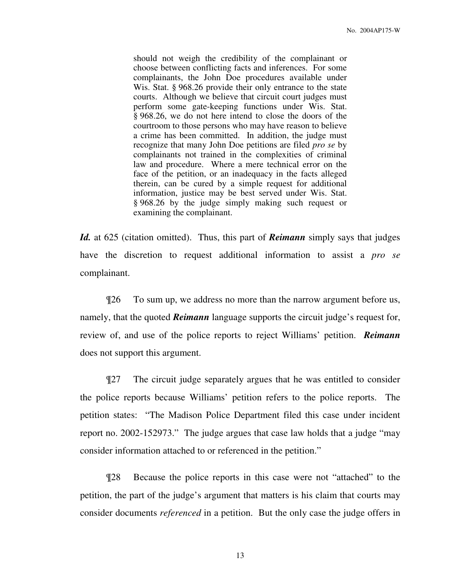should not weigh the credibility of the complainant or choose between conflicting facts and inferences. For some complainants, the John Doe procedures available under Wis. Stat. § 968.26 provide their only entrance to the state courts. Although we believe that circuit court judges must perform some gate-keeping functions under Wis. Stat. § 968.26, we do not here intend to close the doors of the courtroom to those persons who may have reason to believe a crime has been committed. In addition, the judge must recognize that many John Doe petitions are filed *pro se* by complainants not trained in the complexities of criminal law and procedure. Where a mere technical error on the face of the petition, or an inadequacy in the facts alleged therein, can be cured by a simple request for additional information, justice may be best served under Wis. Stat. § 968.26 by the judge simply making such request or examining the complainant.

*Id.* at 625 (citation omitted). Thus, this part of *Reimann* simply says that judges have the discretion to request additional information to assist a *pro se* complainant.

¶26 To sum up, we address no more than the narrow argument before us, namely, that the quoted *Reimann* language supports the circuit judge's request for, review of, and use of the police reports to reject Williams' petition. *Reimann* does not support this argument.

¶27 The circuit judge separately argues that he was entitled to consider the police reports because Williams' petition refers to the police reports. The petition states: "The Madison Police Department filed this case under incident report no. 2002-152973." The judge argues that case law holds that a judge "may consider information attached to or referenced in the petition."

¶28 Because the police reports in this case were not "attached" to the petition, the part of the judge's argument that matters is his claim that courts may consider documents *referenced* in a petition. But the only case the judge offers in